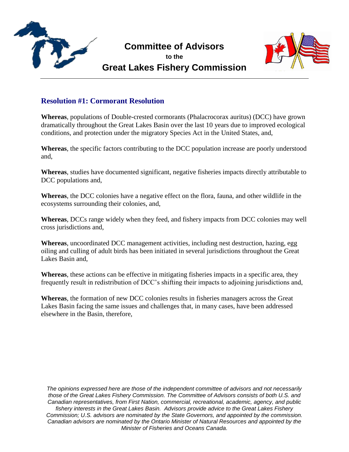

## **Committee of Advisors**

**to the Great Lakes Fishery Commission**



## **Resolution #1: Cormorant Resolution**

**Whereas**, populations of Double-crested cormorants (Phalacrocorax auritus) (DCC) have grown dramatically throughout the Great Lakes Basin over the last 10 years due to improved ecological conditions, and protection under the migratory Species Act in the United States, and,

**Whereas**, the specific factors contributing to the DCC population increase are poorly understood and,

**Whereas**, studies have documented significant, negative fisheries impacts directly attributable to DCC populations and,

**Whereas**, the DCC colonies have a negative effect on the flora, fauna, and other wildlife in the ecosystems surrounding their colonies, and,

**Whereas**, DCCs range widely when they feed, and fishery impacts from DCC colonies may well cross jurisdictions and,

**Whereas**, uncoordinated DCC management activities, including nest destruction, hazing, egg oiling and culling of adult birds has been initiated in several jurisdictions throughout the Great Lakes Basin and,

**Whereas**, these actions can be effective in mitigating fisheries impacts in a specific area, they frequently result in redistribution of DCC's shifting their impacts to adjoining jurisdictions and,

**Whereas**, the formation of new DCC colonies results in fisheries managers across the Great Lakes Basin facing the same issues and challenges that, in many cases, have been addressed elsewhere in the Basin, therefore,

*The opinions expressed here are those of the independent committee of advisors and not necessarily those of the Great Lakes Fishery Commission. The Committee of Advisors consists of both U.S. and Canadian representatives, from First Nation, commercial, recreational, academic, agency, and public fishery interests in the Great Lakes Basin. Advisors provide advice to the Great Lakes Fishery Commission; U.S. advisors are nominated by the State Governors, and appointed by the commission. Canadian advisors are nominated by the Ontario Minister of Natural Resources and appointed by the Minister of Fisheries and Oceans Canada.*